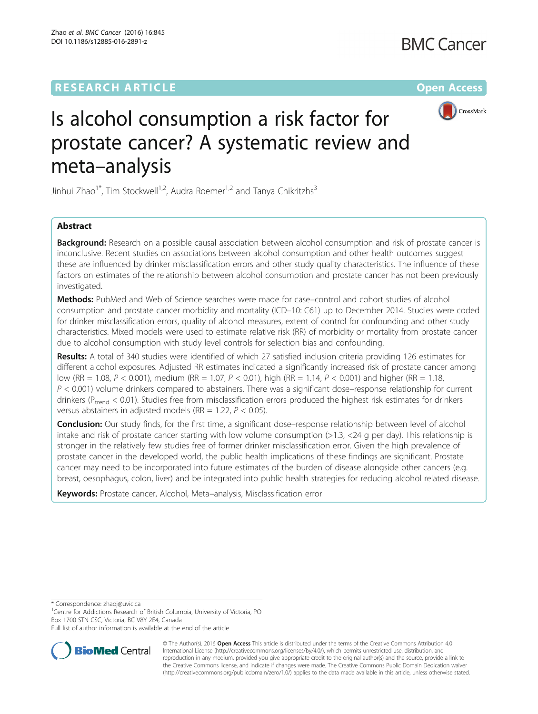## **RESEARCH ARTICLE Example 2014 12:30 The Contract of Contract Article 2014**



# Is alcohol consumption a risk factor for prostate cancer? A systematic review and meta–analysis

Jinhui Zhao<sup>1\*</sup>, Tim Stockwell<sup>1,2</sup>, Audra Roemer<sup>1,2</sup> and Tanya Chikritzhs<sup>3</sup>

#### Abstract

**Background:** Research on a possible causal association between alcohol consumption and risk of prostate cancer is inconclusive. Recent studies on associations between alcohol consumption and other health outcomes suggest these are influenced by drinker misclassification errors and other study quality characteristics. The influence of these factors on estimates of the relationship between alcohol consumption and prostate cancer has not been previously investigated.

Methods: PubMed and Web of Science searches were made for case–control and cohort studies of alcohol consumption and prostate cancer morbidity and mortality (ICD–10: C61) up to December 2014. Studies were coded for drinker misclassification errors, quality of alcohol measures, extent of control for confounding and other study characteristics. Mixed models were used to estimate relative risk (RR) of morbidity or mortality from prostate cancer due to alcohol consumption with study level controls for selection bias and confounding.

Results: A total of 340 studies were identified of which 27 satisfied inclusion criteria providing 126 estimates for different alcohol exposures. Adjusted RR estimates indicated a significantly increased risk of prostate cancer among low (RR = 1.08, P < 0.001), medium (RR = 1.07, P < 0.01), high (RR = 1.14, P < 0.001) and higher (RR = 1.18,  $P < 0.001$ ) volume drinkers compared to abstainers. There was a significant dose–response relationship for current drinkers ( $P_{trend}$  < 0.01). Studies free from misclassification errors produced the highest risk estimates for drinkers versus abstainers in adjusted models (RR = 1.22,  $P < 0.05$ ).

Conclusion: Our study finds, for the first time, a significant dose–response relationship between level of alcohol intake and risk of prostate cancer starting with low volume consumption (>1.3, <24 g per day). This relationship is stronger in the relatively few studies free of former drinker misclassification error. Given the high prevalence of prostate cancer in the developed world, the public health implications of these findings are significant. Prostate cancer may need to be incorporated into future estimates of the burden of disease alongside other cancers (e.g. breast, oesophagus, colon, liver) and be integrated into public health strategies for reducing alcohol related disease.

Keywords: Prostate cancer, Alcohol, Meta–analysis, Misclassification error

\* Correspondence: [zhaoj@uvic.ca](mailto:zhaoj@uvic.ca) <sup>1</sup>

<sup>1</sup> Centre for Addictions Research of British Columbia, University of Victoria, PO Box 1700 STN CSC, Victoria, BC V8Y 2E4, Canada

Full list of author information is available at the end of the article



© The Author(s). 2016 Open Access This article is distributed under the terms of the Creative Commons Attribution 4.0 International License [\(http://creativecommons.org/licenses/by/4.0/](http://creativecommons.org/licenses/by/4.0/)), which permits unrestricted use, distribution, and reproduction in any medium, provided you give appropriate credit to the original author(s) and the source, provide a link to the Creative Commons license, and indicate if changes were made. The Creative Commons Public Domain Dedication waiver [\(http://creativecommons.org/publicdomain/zero/1.0/](http://creativecommons.org/publicdomain/zero/1.0/)) applies to the data made available in this article, unless otherwise stated.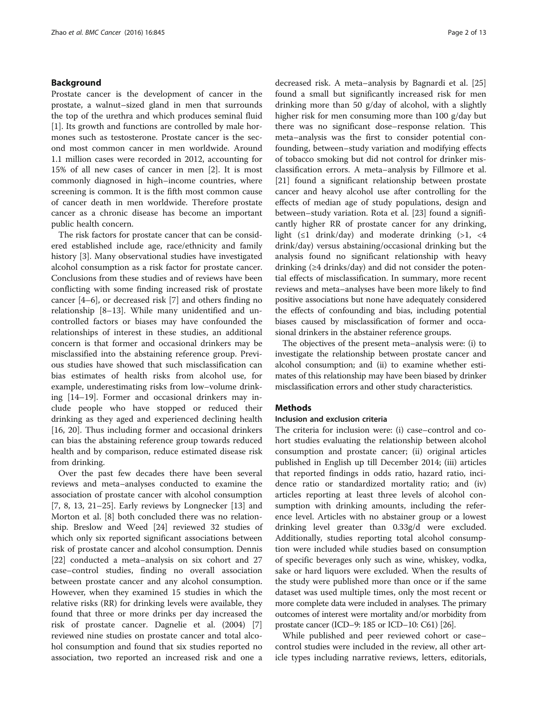#### Background

Prostate cancer is the development of cancer in the prostate, a walnut–sized gland in men that surrounds the top of the urethra and which produces seminal fluid [[1\]](#page-11-0). Its growth and functions are controlled by male hormones such as testosterone. Prostate cancer is the second most common cancer in men worldwide. Around 1.1 million cases were recorded in 2012, accounting for 15% of all new cases of cancer in men [[2](#page-11-0)]. It is most commonly diagnosed in high–income countries, where screening is common. It is the fifth most common cause of cancer death in men worldwide. Therefore prostate cancer as a chronic disease has become an important public health concern.

The risk factors for prostate cancer that can be considered established include age, race/ethnicity and family history [\[3](#page-11-0)]. Many observational studies have investigated alcohol consumption as a risk factor for prostate cancer. Conclusions from these studies and of reviews have been conflicting with some finding increased risk of prostate cancer [[4](#page-11-0)–[6](#page-11-0)], or decreased risk [\[7](#page-11-0)] and others finding no relationship [\[8](#page-11-0)–[13\]](#page-11-0). While many unidentified and uncontrolled factors or biases may have confounded the relationships of interest in these studies, an additional concern is that former and occasional drinkers may be misclassified into the abstaining reference group. Previous studies have showed that such misclassification can bias estimates of health risks from alcohol use, for example, underestimating risks from low–volume drinking [[14](#page-11-0)–[19](#page-11-0)]. Former and occasional drinkers may include people who have stopped or reduced their drinking as they aged and experienced declining health [[16, 20](#page-11-0)]. Thus including former and occasional drinkers can bias the abstaining reference group towards reduced health and by comparison, reduce estimated disease risk from drinking.

Over the past few decades there have been several reviews and meta–analyses conducted to examine the association of prostate cancer with alcohol consumption [[7, 8, 13](#page-11-0), [21](#page-11-0)–[25\]](#page-11-0). Early reviews by Longnecker [[13\]](#page-11-0) and Morton et al. [[8\]](#page-11-0) both concluded there was no relationship. Breslow and Weed [[24\]](#page-11-0) reviewed 32 studies of which only six reported significant associations between risk of prostate cancer and alcohol consumption. Dennis [[22\]](#page-11-0) conducted a meta–analysis on six cohort and 27 case–control studies, finding no overall association between prostate cancer and any alcohol consumption. However, when they examined 15 studies in which the relative risks (RR) for drinking levels were available, they found that three or more drinks per day increased the risk of prostate cancer. Dagnelie et al. (2004) [\[7](#page-11-0)] reviewed nine studies on prostate cancer and total alcohol consumption and found that six studies reported no association, two reported an increased risk and one a

decreased risk. A meta–analysis by Bagnardi et al. [[25](#page-11-0)] found a small but significantly increased risk for men drinking more than 50 g/day of alcohol, with a slightly higher risk for men consuming more than 100 g/day but there was no significant dose–response relation. This meta–analysis was the first to consider potential confounding, between–study variation and modifying effects of tobacco smoking but did not control for drinker misclassification errors. A meta–analysis by Fillmore et al. [[21\]](#page-11-0) found a significant relationship between prostate cancer and heavy alcohol use after controlling for the effects of median age of study populations, design and between–study variation. Rota et al. [\[23](#page-11-0)] found a significantly higher RR of prostate cancer for any drinking, light  $(\leq 1 \text{ drink/day})$  and moderate drinking  $(>1, <4$ drink/day) versus abstaining/occasional drinking but the analysis found no significant relationship with heavy drinking  $(\geq 4$  drinks/day) and did not consider the potential effects of misclassification. In summary, more recent reviews and meta–analyses have been more likely to find positive associations but none have adequately considered the effects of confounding and bias, including potential biases caused by misclassification of former and occasional drinkers in the abstainer reference groups.

The objectives of the present meta–analysis were: (i) to investigate the relationship between prostate cancer and alcohol consumption; and (ii) to examine whether estimates of this relationship may have been biased by drinker misclassification errors and other study characteristics.

#### **Methods**

#### Inclusion and exclusion criteria

The criteria for inclusion were: (i) case–control and cohort studies evaluating the relationship between alcohol consumption and prostate cancer; (ii) original articles published in English up till December 2014; (iii) articles that reported findings in odds ratio, hazard ratio, incidence ratio or standardized mortality ratio; and (iv) articles reporting at least three levels of alcohol consumption with drinking amounts, including the reference level. Articles with no abstainer group or a lowest drinking level greater than 0.33g/d were excluded. Additionally, studies reporting total alcohol consumption were included while studies based on consumption of specific beverages only such as wine, whiskey, vodka, sake or hard liquors were excluded. When the results of the study were published more than once or if the same dataset was used multiple times, only the most recent or more complete data were included in analyses. The primary outcomes of interest were mortality and/or morbidity from prostate cancer (ICD–9: 185 or ICD–10: C61) [\[26\]](#page-11-0).

While published and peer reviewed cohort or case– control studies were included in the review, all other article types including narrative reviews, letters, editorials,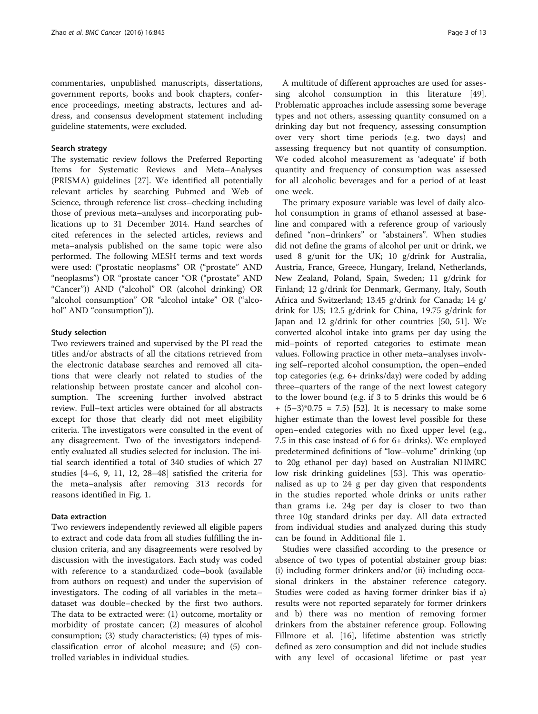commentaries, unpublished manuscripts, dissertations, government reports, books and book chapters, conference proceedings, meeting abstracts, lectures and address, and consensus development statement including guideline statements, were excluded.

#### Search strategy

The systematic review follows the Preferred Reporting Items for Systematic Reviews and Meta–Analyses (PRISMA) guidelines [\[27](#page-11-0)]. We identified all potentially relevant articles by searching Pubmed and Web of Science, through reference list cross–checking including those of previous meta–analyses and incorporating publications up to 31 December 2014. Hand searches of cited references in the selected articles, reviews and meta–analysis published on the same topic were also performed. The following MESH terms and text words were used: ("prostatic neoplasms" OR ("prostate" AND "neoplasms") OR "prostate cancer "OR ("prostate" AND "Cancer")) AND ("alcohol" OR (alcohol drinking) OR "alcohol consumption" OR "alcohol intake" OR ("alcohol" AND "consumption")).

#### Study selection

Two reviewers trained and supervised by the PI read the titles and/or abstracts of all the citations retrieved from the electronic database searches and removed all citations that were clearly not related to studies of the relationship between prostate cancer and alcohol consumption. The screening further involved abstract review. Full–text articles were obtained for all abstracts except for those that clearly did not meet eligibility criteria. The investigators were consulted in the event of any disagreement. Two of the investigators independently evaluated all studies selected for inclusion. The initial search identified a total of 340 studies of which 27 studies [\[4](#page-11-0)–[6](#page-11-0), [9](#page-11-0), [11, 12, 28](#page-11-0)–[48](#page-11-0)] satisfied the criteria for the meta–analysis after removing 313 records for reasons identified in Fig. [1.](#page-3-0)

#### Data extraction

Two reviewers independently reviewed all eligible papers to extract and code data from all studies fulfilling the inclusion criteria, and any disagreements were resolved by discussion with the investigators. Each study was coded with reference to a standardized code–book (available from authors on request) and under the supervision of investigators. The coding of all variables in the meta– dataset was double–checked by the first two authors. The data to be extracted were: (1) outcome, mortality or morbidity of prostate cancer; (2) measures of alcohol consumption; (3) study characteristics; (4) types of misclassification error of alcohol measure; and (5) controlled variables in individual studies.

A multitude of different approaches are used for assessing alcohol consumption in this literature [\[49](#page-11-0)]. Problematic approaches include assessing some beverage types and not others, assessing quantity consumed on a drinking day but not frequency, assessing consumption over very short time periods (e.g. two days) and assessing frequency but not quantity of consumption. We coded alcohol measurement as 'adequate' if both quantity and frequency of consumption was assessed for all alcoholic beverages and for a period of at least one week.

The primary exposure variable was level of daily alcohol consumption in grams of ethanol assessed at baseline and compared with a reference group of variously defined "non–drinkers" or "abstainers". When studies did not define the grams of alcohol per unit or drink, we used 8 g/unit for the UK; 10 g/drink for Australia, Austria, France, Greece, Hungary, Ireland, Netherlands, New Zealand, Poland, Spain, Sweden; 11 g/drink for Finland; 12 g/drink for Denmark, Germany, Italy, South Africa and Switzerland; 13.45 g/drink for Canada; 14 g/ drink for US; 12.5 g/drink for China, 19.75 g/drink for Japan and 12 g/drink for other countries [\[50, 51](#page-11-0)]. We converted alcohol intake into grams per day using the mid–points of reported categories to estimate mean values. Following practice in other meta–analyses involving self–reported alcohol consumption, the open–ended top categories (e.g. 6+ drinks/day) were coded by adding three–quarters of the range of the next lowest category to the lower bound (e.g. if 3 to 5 drinks this would be 6  $+$   $(5-3)*0.75 = 7.5)$  [\[52](#page-11-0)]. It is necessary to make some higher estimate than the lowest level possible for these open–ended categories with no fixed upper level (e.g., 7.5 in this case instead of 6 for 6+ drinks). We employed predetermined definitions of "low–volume" drinking (up to 20g ethanol per day) based on Australian NHMRC low risk drinking guidelines [[53\]](#page-11-0). This was operationalised as up to 24 g per day given that respondents in the studies reported whole drinks or units rather than grams i.e. 24g per day is closer to two than three 10g standard drinks per day. All data extracted from individual studies and analyzed during this study can be found in Additional file [1.](#page-10-0)

Studies were classified according to the presence or absence of two types of potential abstainer group bias: (i) including former drinkers and/or (ii) including occasional drinkers in the abstainer reference category. Studies were coded as having former drinker bias if a) results were not reported separately for former drinkers and b) there was no mention of removing former drinkers from the abstainer reference group. Following Fillmore et al. [[16](#page-11-0)], lifetime abstention was strictly defined as zero consumption and did not include studies with any level of occasional lifetime or past year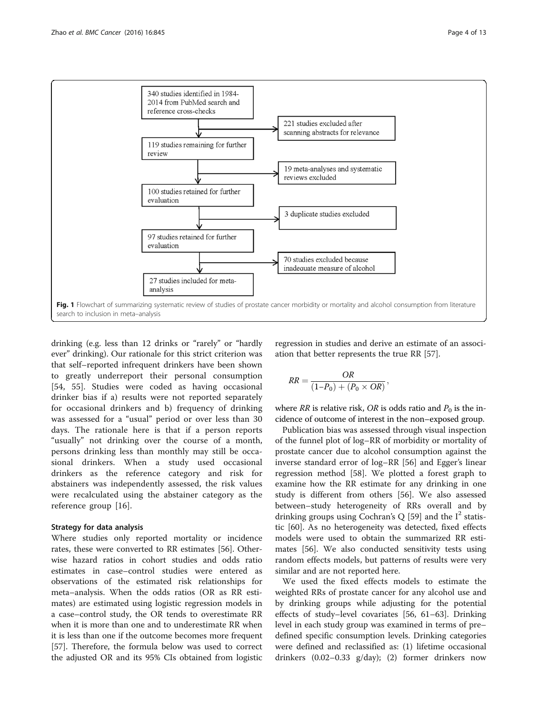<span id="page-3-0"></span>

drinking (e.g. less than 12 drinks or "rarely" or "hardly ever" drinking). Our rationale for this strict criterion was that self–reported infrequent drinkers have been shown to greatly underreport their personal consumption [[54, 55](#page-12-0)]. Studies were coded as having occasional drinker bias if a) results were not reported separately for occasional drinkers and b) frequency of drinking was assessed for a "usual" period or over less than 30 days. The rationale here is that if a person reports "usually" not drinking over the course of a month, persons drinking less than monthly may still be occasional drinkers. When a study used occasional drinkers as the reference category and risk for abstainers was independently assessed, the risk values were recalculated using the abstainer category as the reference group [[16\]](#page-11-0).

#### Strategy for data analysis

Where studies only reported mortality or incidence rates, these were converted to RR estimates [\[56](#page-12-0)]. Otherwise hazard ratios in cohort studies and odds ratio estimates in case–control studies were entered as observations of the estimated risk relationships for meta–analysis. When the odds ratios (OR as RR estimates) are estimated using logistic regression models in a case–control study, the OR tends to overestimate RR when it is more than one and to underestimate RR when it is less than one if the outcome becomes more frequent [[57\]](#page-12-0). Therefore, the formula below was used to correct the adjusted OR and its 95% CIs obtained from logistic regression in studies and derive an estimate of an association that better represents the true RR [[57](#page-12-0)].

$$
RR = \frac{OR}{(1-P_0) + (P_0 \times OR)},
$$

where RR is relative risk, OR is odds ratio and  $P_0$  is the incidence of outcome of interest in the non–exposed group.

Publication bias was assessed through visual inspection of the funnel plot of log–RR of morbidity or mortality of prostate cancer due to alcohol consumption against the inverse standard error of log–RR [[56](#page-12-0)] and Egger's linear regression method [[58\]](#page-12-0). We plotted a forest graph to examine how the RR estimate for any drinking in one study is different from others [\[56](#page-12-0)]. We also assessed between–study heterogeneity of RRs overall and by drinking groups using Cochran's Q [\[59](#page-12-0)] and the  $I^2$  statistic [[60\]](#page-12-0). As no heterogeneity was detected, fixed effects models were used to obtain the summarized RR estimates [\[56](#page-12-0)]. We also conducted sensitivity tests using random effects models, but patterns of results were very similar and are not reported here.

We used the fixed effects models to estimate the weighted RRs of prostate cancer for any alcohol use and by drinking groups while adjusting for the potential effects of study–level covariates [\[56, 61](#page-12-0)–[63\]](#page-12-0). Drinking level in each study group was examined in terms of pre– defined specific consumption levels. Drinking categories were defined and reclassified as: (1) lifetime occasional drinkers (0.02–0.33 g/day); (2) former drinkers now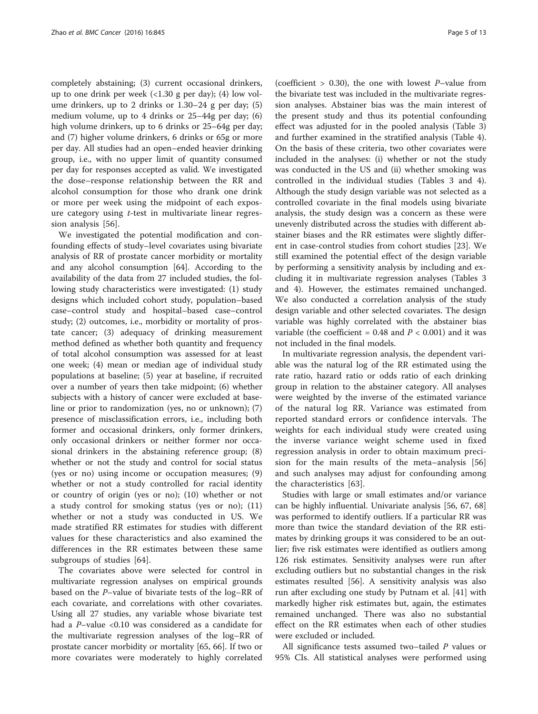completely abstaining; (3) current occasional drinkers, up to one drink per week  $\left($  < 1.30 g per day); (4) low volume drinkers, up to 2 drinks or  $1.30-24$  g per day; (5) medium volume, up to 4 drinks or 25–44g per day; (6) high volume drinkers, up to 6 drinks or 25–64g per day; and (7) higher volume drinkers, 6 drinks or 65g or more per day. All studies had an open–ended heavier drinking group, i.e., with no upper limit of quantity consumed per day for responses accepted as valid. We investigated the dose–response relationship between the RR and alcohol consumption for those who drank one drink or more per week using the midpoint of each exposure category using t-test in multivariate linear regression analysis [[56](#page-12-0)].

We investigated the potential modification and confounding effects of study–level covariates using bivariate analysis of RR of prostate cancer morbidity or mortality and any alcohol consumption [[64\]](#page-12-0). According to the availability of the data from 27 included studies, the following study characteristics were investigated: (1) study designs which included cohort study, population–based case–control study and hospital–based case–control study; (2) outcomes, i.e., morbidity or mortality of prostate cancer; (3) adequacy of drinking measurement method defined as whether both quantity and frequency of total alcohol consumption was assessed for at least one week; (4) mean or median age of individual study populations at baseline; (5) year at baseline, if recruited over a number of years then take midpoint; (6) whether subjects with a history of cancer were excluded at baseline or prior to randomization (yes, no or unknown); (7) presence of misclassification errors, i.e., including both former and occasional drinkers, only former drinkers, only occasional drinkers or neither former nor occasional drinkers in the abstaining reference group; (8) whether or not the study and control for social status (yes or no) using income or occupation measures; (9) whether or not a study controlled for racial identity or country of origin (yes or no); (10) whether or not a study control for smoking status (yes or no); (11) whether or not a study was conducted in US. We made stratified RR estimates for studies with different values for these characteristics and also examined the differences in the RR estimates between these same subgroups of studies [[64\]](#page-12-0).

The covariates above were selected for control in multivariate regression analyses on empirical grounds based on the P–value of bivariate tests of the log–RR of each covariate, and correlations with other covariates. Using all 27 studies, any variable whose bivariate test had a  $P$ –value <0.10 was considered as a candidate for the multivariate regression analyses of the log–RR of prostate cancer morbidity or mortality [\[65, 66\]](#page-12-0). If two or more covariates were moderately to highly correlated

(coefficient  $> 0.30$ ), the one with lowest P-value from the bivariate test was included in the multivariate regression analyses. Abstainer bias was the main interest of the present study and thus its potential confounding effect was adjusted for in the pooled analysis (Table [3](#page-8-0)) and further examined in the stratified analysis (Table [4](#page-9-0)). On the basis of these criteria, two other covariates were included in the analyses: (i) whether or not the study was conducted in the US and (ii) whether smoking was controlled in the individual studies (Tables [3](#page-8-0) and [4](#page-9-0)). Although the study design variable was not selected as a controlled covariate in the final models using bivariate analysis, the study design was a concern as these were unevenly distributed across the studies with different abstainer biases and the RR estimates were slightly different in case-control studies from cohort studies [[23\]](#page-11-0). We still examined the potential effect of the design variable by performing a sensitivity analysis by including and excluding it in multivariate regression analyses (Tables [3](#page-8-0) and [4](#page-9-0)). However, the estimates remained unchanged. We also conducted a correlation analysis of the study design variable and other selected covariates. The design variable was highly correlated with the abstainer bias variable (the coefficient =  $0.48$  and  $P < 0.001$ ) and it was not included in the final models.

In multivariate regression analysis, the dependent variable was the natural log of the RR estimated using the rate ratio, hazard ratio or odds ratio of each drinking group in relation to the abstainer category. All analyses were weighted by the inverse of the estimated variance of the natural log RR. Variance was estimated from reported standard errors or confidence intervals. The weights for each individual study were created using the inverse variance weight scheme used in fixed regression analysis in order to obtain maximum precision for the main results of the meta–analysis [\[56](#page-12-0)] and such analyses may adjust for confounding among the characteristics [[63](#page-12-0)].

Studies with large or small estimates and/or variance can be highly influential. Univariate analysis [[56](#page-12-0), [67, 68](#page-12-0)] was performed to identify outliers. If a particular RR was more than twice the standard deviation of the RR estimates by drinking groups it was considered to be an outlier; five risk estimates were identified as outliers among 126 risk estimates. Sensitivity analyses were run after excluding outliers but no substantial changes in the risk estimates resulted [\[56](#page-12-0)]. A sensitivity analysis was also run after excluding one study by Putnam et al. [\[41](#page-11-0)] with markedly higher risk estimates but, again, the estimates remained unchanged. There was also no substantial effect on the RR estimates when each of other studies were excluded or included.

All significance tests assumed two–tailed P values or 95% CIs. All statistical analyses were performed using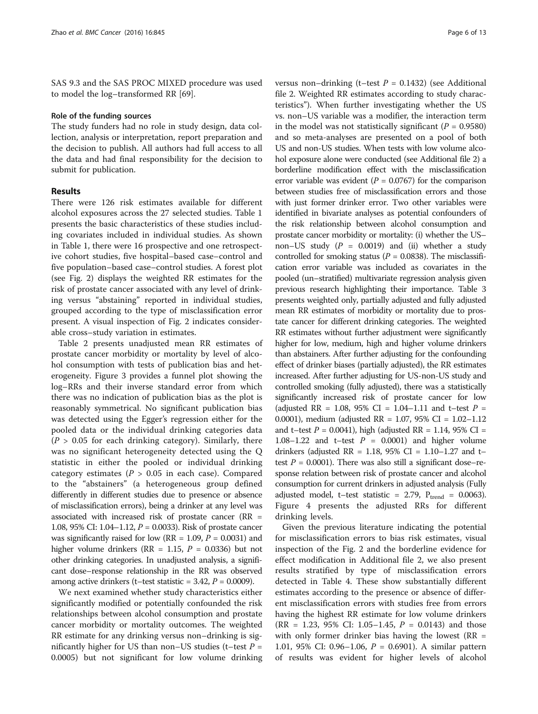SAS 9.3 and the SAS PROC MIXED procedure was used to model the log–transformed RR [\[69](#page-12-0)].

#### Role of the funding sources

The study funders had no role in study design, data collection, analysis or interpretation, report preparation and the decision to publish. All authors had full access to all the data and had final responsibility for the decision to submit for publication.

#### Results

There were 126 risk estimates available for different alcohol exposures across the 27 selected studies. Table [1](#page-6-0) presents the basic characteristics of these studies including covariates included in individual studies. As shown in Table [1](#page-6-0), there were 16 prospective and one retrospective cohort studies, five hospital–based case–control and five population–based case–control studies. A forest plot (see Fig. [2\)](#page-7-0) displays the weighted RR estimates for the risk of prostate cancer associated with any level of drinking versus "abstaining" reported in individual studies, grouped according to the type of misclassification error present. A visual inspection of Fig. [2](#page-7-0) indicates considerable cross–study variation in estimates.

Table [2](#page-7-0) presents unadjusted mean RR estimates of prostate cancer morbidity or mortality by level of alcohol consumption with tests of publication bias and heterogeneity. Figure [3](#page-8-0) provides a funnel plot showing the log–RRs and their inverse standard error from which there was no indication of publication bias as the plot is reasonably symmetrical. No significant publication bias was detected using the Egger's regression either for the pooled data or the individual drinking categories data  $(P > 0.05$  for each drinking category). Similarly, there was no significant heterogeneity detected using the Q statistic in either the pooled or individual drinking category estimates ( $P > 0.05$  in each case). Compared to the "abstainers" (a heterogeneous group defined differently in different studies due to presence or absence of misclassification errors), being a drinker at any level was associated with increased risk of prostate cancer (RR = 1.08, 95% CI: 1.04–1.12,  $P = 0.0033$ ). Risk of prostate cancer was significantly raised for low ( $RR = 1.09$ ,  $P = 0.0031$ ) and higher volume drinkers ( $RR = 1.15$ ,  $P = 0.0336$ ) but not other drinking categories. In unadjusted analysis, a significant dose–response relationship in the RR was observed among active drinkers (t–test statistic =  $3.42$ ,  $P = 0.0009$ ).

We next examined whether study characteristics either significantly modified or potentially confounded the risk relationships between alcohol consumption and prostate cancer morbidity or mortality outcomes. The weighted RR estimate for any drinking versus non–drinking is significantly higher for US than non–US studies (t–test  $P =$ 0.0005) but not significant for low volume drinking versus non–drinking (t–test  $P = 0.1432$ ) (see Additional file [2](#page-10-0). Weighted RR estimates according to study characteristics"). When further investigating whether the US vs. non–US variable was a modifier, the interaction term in the model was not statistically significant ( $P = 0.9580$ ) and so meta-analyses are presented on a pool of both US and non-US studies. When tests with low volume alcohol exposure alone were conducted (see Additional file [2](#page-10-0)) a borderline modification effect with the misclassification error variable was evident ( $P = 0.0767$ ) for the comparison between studies free of misclassification errors and those with just former drinker error. Two other variables were identified in bivariate analyses as potential confounders of the risk relationship between alcohol consumption and prostate cancer morbidity or mortality: (i) whether the US– non–US study ( $P = 0.0019$ ) and (ii) whether a study controlled for smoking status ( $P = 0.0838$ ). The misclassification error variable was included as covariates in the pooled (un–stratified) multivariate regression analysis given previous research highlighting their importance. Table [3](#page-8-0) presents weighted only, partially adjusted and fully adjusted mean RR estimates of morbidity or mortality due to prostate cancer for different drinking categories. The weighted RR estimates without further adjustment were significantly higher for low, medium, high and higher volume drinkers than abstainers. After further adjusting for the confounding effect of drinker biases (partially adjusted), the RR estimates increased. After further adjusting for US-non-US study and controlled smoking (fully adjusted), there was a statistically significantly increased risk of prostate cancer for low (adjusted RR = 1.08, 95% CI = 1.04-1.11 and t-test  $P =$ 0.0001), medium (adjusted RR = 1.07, 95% CI = 1.02–1.12 and t–test  $P = 0.0041$ ), high (adjusted RR = 1.14, 95% CI = 1.08–1.22 and t–test  $P = 0.0001$  and higher volume drinkers (adjusted RR = 1.18, 95% CI = 1.10-1.27 and ttest  $P = 0.0001$ ). There was also still a significant dose–response relation between risk of prostate cancer and alcohol consumption for current drinkers in adjusted analysis (Fully adjusted model, t-test statistic = 2.79,  $P_{trend}$  = 0.0063). Figure [4](#page-9-0) presents the adjusted RRs for different drinking levels.

Given the previous literature indicating the potential for misclassification errors to bias risk estimates, visual inspection of the Fig. [2](#page-7-0) and the borderline evidence for effect modification in Additional file [2](#page-10-0), we also present results stratified by type of misclassification errors detected in Table [4.](#page-9-0) These show substantially different estimates according to the presence or absence of different misclassification errors with studies free from errors having the highest RR estimate for low volume drinkers  $(RR = 1.23, 95\% \text{ CI: } 1.05-1.45, P = 0.0143)$  and those with only former drinker bias having the lowest ( $RR =$ 1.01, 95% CI: 0.96–1.06,  $P = 0.6901$ ). A similar pattern of results was evident for higher levels of alcohol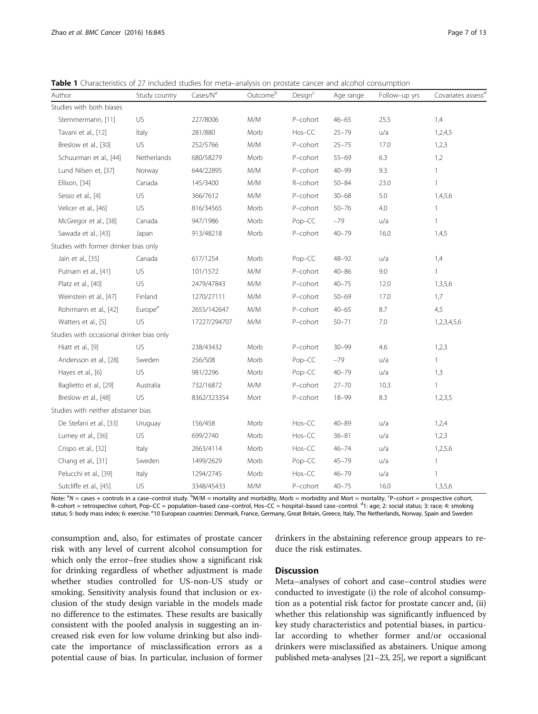<span id="page-6-0"></span>Table 1 Characteristics of 27 included studies for meta–analysis on prostate cancer and alcohol consumption

| Author                                    | Study country       | Cases/N <sup>a</sup> | Outcomeb | Design <sup>c</sup> | Age range | Follow-up yrs | Covariates assess |
|-------------------------------------------|---------------------|----------------------|----------|---------------------|-----------|---------------|-------------------|
| Studies with both biases                  |                     |                      |          |                     |           |               |                   |
| Stemmermann, [11]                         | US                  | 227/8006             | M/M      | P-cohort            | $46 - 65$ | 25.5          | 1,4               |
| Tavani et al., [12]                       | Italy               | 281/880              | Morb     | Hos-CC              | $25 - 79$ | u/a           | 1,2,4,5           |
| Breslow et al., [30]                      | US                  | 252/5766             | M/M      | P-cohort            | $25 - 75$ | 17.0          | 1,2,3             |
| Schuurman et al., [44]                    | Netherlands         | 680/58279            | Morb     | P-cohort            | $55 - 69$ | 6.3           | 1,2               |
| Lund Nilsen et, [37]                      | Norway              | 644/22895            | M/M      | P-cohort            | $40 - 99$ | 9.3           | 1                 |
| Ellison, [34]                             | Canada              | 145/3400             | M/M      | R-cohort            | $50 - 84$ | 23.0          | $\mathbf{1}$      |
| Sesso et al., [4]                         | US                  | 366/7612             | M/M      | P-cohort            | $30 - 68$ | $5.0$         | 1,4,5,6           |
| Velicer et al., [46]                      | US                  | 816/34565            | Morb     | P-cohort            | $50 - 76$ | 4.0           | $\mathbf{1}$      |
| McGregor et al., [38]                     | Canada              | 947/1986             | Morb     | Pop-CC              | $-79$     | u/a           | $\mathbf{1}$      |
| Sawada et al., [43]                       | Japan               | 913/48218            | Morb     | P-cohort            | $40 - 79$ | 16.0          | 1,4,5             |
| Studies with former drinker bias only     |                     |                      |          |                     |           |               |                   |
| Jain et al., [35]                         | Canada              | 617/1254             | Morb     | Pop-CC              | $48 - 92$ | u/a           | 1,4               |
| Putnam et al., [41]                       | US                  | 101/1572             | M/M      | P-cohort            | $40 - 86$ | 9.0           | 1                 |
| Platz et al., [40]                        | US                  | 2479/47843           | M/M      | P-cohort            | $40 - 75$ | 12.0          | 1,3,5,6           |
| Weinstein et al., [47]                    | Finland             | 1270/27111           | M/M      | P-cohort            | $50 - 69$ | 17.0          | 1,7               |
| Rohrmann et al., [42]                     | Europe <sup>e</sup> | 2655/142647          | M/M      | P-cohort            | $40 - 65$ | 8.7           | 4,5               |
| Watters et al., [5]                       | US                  | 17227/294707         | M/M      | P-cohort            | $50 - 71$ | 7.0           | 1,2,3,4,5,6       |
| Studies with occasional drinker bias only |                     |                      |          |                     |           |               |                   |
| Hiatt et al., [9]                         | US                  | 238/43432            | Morb     | P-cohort            | $30 - 99$ | 4.6           | 1,2,3             |
| Andersson et al., [28]                    | Sweden              | 256/508              | Morb     | Pop-CC              | $-79$     | u/a           | $\mathbf{1}$      |
| Hayes et al., [6]                         | US                  | 981/2296             | Morb     | Pop-CC              | $40 - 79$ | u/a           | 1,3               |
| Baglietto et al., [29]                    | Australia           | 732/16872            | M/M      | P-cohort            | $27 - 70$ | 10.3          | 1                 |
| Breslow et al., [48]                      | US                  | 8362/323354          | Mort     | P-cohort            | 18-99     | 8.3           | 1,2,3,5           |
| Studies with neither abstainer bias       |                     |                      |          |                     |           |               |                   |
| De Stefani et al., [33]                   | Uruguay             | 156/458              | Morb     | Hos-CC              | $40 - 89$ | u/a           | 1,2,4             |
| Lumey et al., [36]                        | US                  | 699/2740             | Morb     | Hos-CC              | $36 - 81$ | u/a           | 1,2,3             |
| Crispo et al., [32]                       | Italy               | 2663/4114            | Morb     | Hos-CC              | $46 - 74$ | u/a           | 1,2,5,6           |
| Chang et al., [31]                        | Sweden              | 1499/2629            | Morb     | Pop-CC              | $45 - 79$ | u/a           | $\mathbf{1}$      |
| Pelucchi et al., [39]                     | Italy               | 1294/2745            | Morb     | Hos-CC              | $46 - 79$ | u/a           | $\mathbf{1}$      |
| Sutcliffe et al., [45]                    | US                  | 3348/45433           | M/M      | P-cohort            | $40 - 75$ | 16.0          | 1,3,5,6           |

Note: <sup>a</sup>N = cases + controls in a case–control study. <sup>b</sup>M/M = mortality and morbidity, Morb = morbidity and Mort = mortality. <sup>c</sup>P–cohort = prospective cohort, R-cohort = retrospective cohort, Pop-CC = population-based case-control, Hos-CC = hospital-based case-control. <sup>d</sup>1: age; 2: social status; 3: race; 4: smoking status; 5: body mass index; 6: exercise. <sup>e</sup>10 European countries: Denmark, France, Germany, Great Britain, Greece, Italy, The Netherlands, Norway, Spain and Sweden

consumption and, also, for estimates of prostate cancer risk with any level of current alcohol consumption for which only the error–free studies show a significant risk for drinking regardless of whether adjustment is made whether studies controlled for US-non-US study or smoking. Sensitivity analysis found that inclusion or exclusion of the study design variable in the models made no difference to the estimates. These results are basically consistent with the pooled analysis in suggesting an increased risk even for low volume drinking but also indicate the importance of misclassification errors as a potential cause of bias. In particular, inclusion of former drinkers in the abstaining reference group appears to reduce the risk estimates.

#### **Discussion**

Meta–analyses of cohort and case–control studies were conducted to investigate (i) the role of alcohol consumption as a potential risk factor for prostate cancer and, (ii) whether this relationship was significantly influenced by key study characteristics and potential biases, in particular according to whether former and/or occasional drinkers were misclassified as abstainers. Unique among published meta-analyses [\[21](#page-11-0)–[23, 25\]](#page-11-0), we report a significant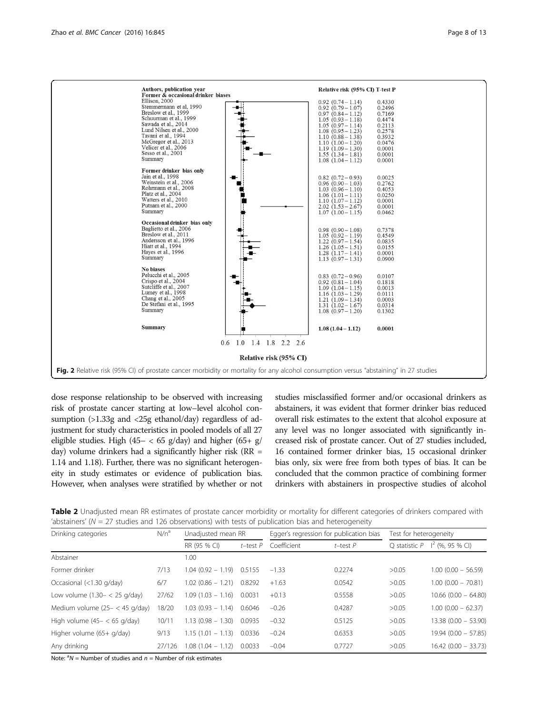<span id="page-7-0"></span>

dose response relationship to be observed with increasing risk of prostate cancer starting at low–level alcohol consumption (>1.33g and <25g ethanol/day) regardless of adjustment for study characteristics in pooled models of all 27 eligible studies. High (45– < 65 g/day) and higher (65+ g/ day) volume drinkers had a significantly higher risk ( $RR =$ 1.14 and 1.18). Further, there was no significant heterogeneity in study estimates or evidence of publication bias. However, when analyses were stratified by whether or not

studies misclassified former and/or occasional drinkers as abstainers, it was evident that former drinker bias reduced overall risk estimates to the extent that alcohol exposure at any level was no longer associated with significantly increased risk of prostate cancer. Out of 27 studies included, 16 contained former drinker bias, 15 occasional drinker bias only, six were free from both types of bias. It can be concluded that the common practice of combining former drinkers with abstainers in prospective studies of alcohol

Table 2 Unadjusted mean RR estimates of prostate cancer morbidity or mortality for different categories of drinkers compared with 'abstainers' ( $N = 27$  studies and 126 observations) with tests of publication bias and heterogeneity

| Drinking categories               | $N/n^a$ | Unadjusted mean RR          |               |             | Egger's regression for publication bias | Test for heterogeneity |                                               |  |
|-----------------------------------|---------|-----------------------------|---------------|-------------|-----------------------------------------|------------------------|-----------------------------------------------|--|
|                                   |         | RR (95 % CI)                | $t$ -test $P$ | Coefficient | $t$ -test $P$                           |                        | Q statistic $P \mid \cdot  ^{2}$ (%, 95 % CI) |  |
| Abstainer                         |         | 1.00                        |               |             |                                         |                        |                                               |  |
| Former drinker                    | 7/13    | $1.04(0.92 - 1.19)$ 0.5155  |               | $-1.33$     | 0.2274                                  | >0.05                  | $1.00$ (0.00 - 56.59)                         |  |
| Occasional (<1.30 g/day)          | 6/7     | $1.02$ (0.86 - 1.21) 0.8292 |               | $+1.63$     | 0.0542                                  | >0.05                  | $1.00$ (0.00 - 70.81)                         |  |
| Low volume $(1.30 - < 25$ g/day)  | 27/62   | $1.09(1.03 - 1.16)$         | 0.0031        | $+0.13$     | 0.5558                                  | >0.05                  | $10.66(0.00 - 64.80)$                         |  |
| Medium volume $(25 - < 45$ g/day) | 18/20   | $1.03(0.93 - 1.14)$         | 0.6046        | $-0.26$     | 0.4287                                  | >0.05                  | $1.00$ (0.00 - 62.37)                         |  |
| High volume $(45 - < 65$ g/day)   | 10/11   | $1.13(0.98 - 1.30)$         | 0.0935        | $-0.32$     | 0.5125                                  | >0.05                  | $13.38(0.00 - 53.90)$                         |  |
| Higher volume (65+ g/day)         | 9/13    | $1.15(1.01 - 1.13)$         | 0.0336        | $-0.24$     | 0.6353                                  | >0.05                  | $19.94(0.00 - 57.85)$                         |  |
| Any drinking                      | 27/126  | $1.08(1.04 - 1.12)$         | 0.0033        | $-0.04$     | 0.7727                                  | >0.05                  | $16.42(0.00 - 33.73)$                         |  |

Note:  ${}^{a}N$  = Number of studies and  $n$  = Number of risk estimates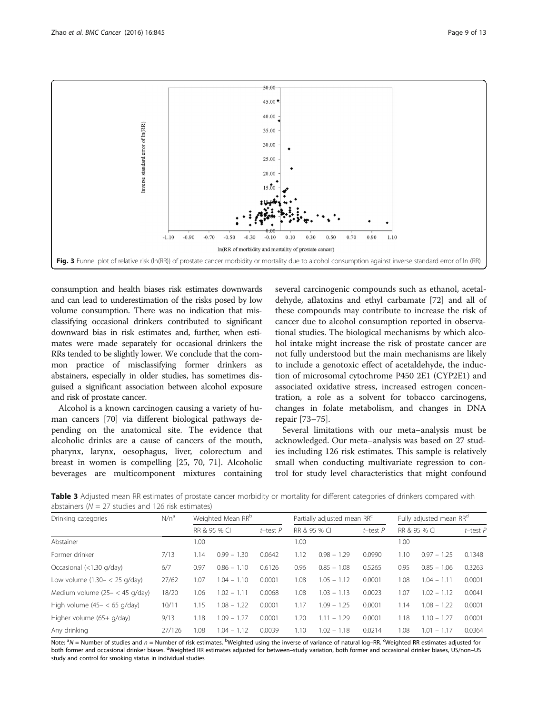<span id="page-8-0"></span>

consumption and health biases risk estimates downwards and can lead to underestimation of the risks posed by low volume consumption. There was no indication that misclassifying occasional drinkers contributed to significant downward bias in risk estimates and, further, when estimates were made separately for occasional drinkers the RRs tended to be slightly lower. We conclude that the common practice of misclassifying former drinkers as abstainers, especially in older studies, has sometimes disguised a significant association between alcohol exposure and risk of prostate cancer.

Alcohol is a known carcinogen causing a variety of human cancers [[70\]](#page-12-0) via different biological pathways depending on the anatomical site. The evidence that alcoholic drinks are a cause of cancers of the mouth, pharynx, larynx, oesophagus, liver, colorectum and breast in women is compelling [\[25,](#page-11-0) [70, 71](#page-12-0)]. Alcoholic beverages are multicomponent mixtures containing several carcinogenic compounds such as ethanol, acetaldehyde, aflatoxins and ethyl carbamate [[72\]](#page-12-0) and all of these compounds may contribute to increase the risk of cancer due to alcohol consumption reported in observational studies. The biological mechanisms by which alcohol intake might increase the risk of prostate cancer are not fully understood but the main mechanisms are likely to include a genotoxic effect of acetaldehyde, the induction of microsomal cytochrome P450 2E1 (CYP2E1) and associated oxidative stress, increased estrogen concentration, a role as a solvent for tobacco carcinogens, changes in folate metabolism, and changes in DNA repair [[73](#page-12-0)–[75](#page-12-0)].

Several limitations with our meta–analysis must be acknowledged. Our meta–analysis was based on 27 studies including 126 risk estimates. This sample is relatively small when conducting multivariate regression to control for study level characteristics that might confound

Table 3 Adjusted mean RR estimates of prostate cancer morbidity or mortality for different categories of drinkers compared with abstainers ( $N = 27$  studies and 126 risk estimates)

| Drinking categories               | $N/n^a$ | Weighted Mean RR <sup>b</sup> |               |               | Partially adjusted mean RR <sup>c</sup> |               |               | Fully adjusted mean RR <sup>d</sup> |               |               |
|-----------------------------------|---------|-------------------------------|---------------|---------------|-----------------------------------------|---------------|---------------|-------------------------------------|---------------|---------------|
|                                   |         | RR & 95 % CI                  |               | $t$ -test $P$ | RR & 95 % CI                            |               | $t$ -test $P$ | RR & 95 % CI                        |               | $t$ -test $P$ |
| Abstainer                         |         | 1.00                          |               |               | 1.00                                    |               |               | 1.00                                |               |               |
| Former drinker                    | 7/13    | 1.14                          | $0.99 - 1.30$ | 0.0642        | 1.12                                    | $0.98 - 1.29$ | 0.0990        | 1.10                                | $0.97 - 1.25$ | 0.1348        |
| Occasional (<1.30 g/day)          | 6/7     | 0.97                          | $0.86 - 1.10$ | 0.6126        | 0.96                                    | $0.85 - 1.08$ | 0.5265        | 0.95                                | $0.85 - 1.06$ | 0.3263        |
| Low volume $(1.30 - < 25$ g/day)  | 27/62   | 1.07                          | $1.04 - 1.10$ | 0.0001        | 1.08                                    | $1.05 - 1.12$ | 0.0001        | 1.08                                | $1.04 - 1.11$ | 0.0001        |
| Medium volume $(25 - < 45$ g/day) | 18/20   | 1.06                          | $1.02 - 1.11$ | 0.0068        | 0.08                                    | $1.03 - 1.13$ | 0.0023        | 1.07                                | $1.02 - 1.12$ | 0.0041        |
| High volume $(45 - < 65$ g/day)   | 10/11   | 1.15                          | $1.08 - 1.22$ | 0.0001        | 1.17                                    | $1.09 - 1.25$ | 0.0001        | 1.14                                | $1.08 - 1.22$ | 0.0001        |
| Higher volume (65+ g/day)         | 9/13    | 1.18                          | $1.09 - 1.27$ | 0.0001        | 1.20                                    | $1.11 - 1.29$ | 0.0001        | 1.18                                | $1.10 - 1.27$ | 0.0001        |
| Any drinking                      | 27/126  | 1.08                          | $1.04 - 1.12$ | 0.0039        | 1.10                                    | $1.02 - 1.18$ | 0.0214        | 1.08                                | $1.01 - 1.17$ | 0.0364        |

Note: <sup>a</sup>N = Number of studies and n = Number of risk estimates. <sup>b</sup>Weighted using the inverse of variance of natural log–RR. <sup>c</sup>Weighted RR estimates adjusted for both former and occasional drinker biases. <sup>d</sup>Weighted RR estimates adjusted for between–study variation, both former and occasional drinker biases, US/non–US study and control for smoking status in individual studies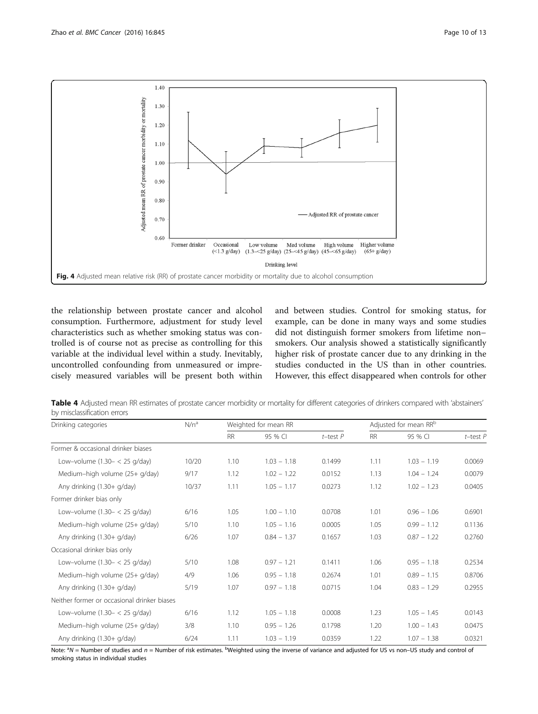<span id="page-9-0"></span>

the relationship between prostate cancer and alcohol consumption. Furthermore, adjustment for study level characteristics such as whether smoking status was controlled is of course not as precise as controlling for this variable at the individual level within a study. Inevitably, uncontrolled confounding from unmeasured or imprecisely measured variables will be present both within

and between studies. Control for smoking status, for example, can be done in many ways and some studies did not distinguish former smokers from lifetime non– smokers. Our analysis showed a statistically significantly higher risk of prostate cancer due to any drinking in the studies conducted in the US than in other countries. However, this effect disappeared when controls for other

Table 4 Adjusted mean RR estimates of prostate cancer morbidity or mortality for different categories of drinkers compared with 'abstainers' by misclassification errors

| Drinking categories                         | $N/n^a$ |           | Weighted for mean RR |               | Adjusted for mean RR <sup>b</sup> |               |               |
|---------------------------------------------|---------|-----------|----------------------|---------------|-----------------------------------|---------------|---------------|
|                                             |         | <b>RR</b> | 95 % CI              | $t$ -test $P$ | <b>RR</b>                         | 95 % CI       | $t$ -test $F$ |
| Former & occasional drinker biases          |         |           |                      |               |                                   |               |               |
| Low-volume $(1.30 - < 25$ g/day)            | 10/20   | 1.10      | $1.03 - 1.18$        | 0.1499        | 1.11                              | $1.03 - 1.19$ | 0.0069        |
| Medium-high volume (25+ g/day)              | 9/17    | 1.12      | $1.02 - 1.22$        | 0.0152        | 1.13                              | $1.04 - 1.24$ | 0.0079        |
| Any drinking (1.30+ g/day)                  | 10/37   | 1.11      | $1.05 - 1.17$        | 0.0273        | 1.12                              | $1.02 - 1.23$ | 0.0405        |
| Former drinker bias only                    |         |           |                      |               |                                   |               |               |
| Low-volume $(1.30 - < 25$ g/day)            | 6/16    | 1.05      | $1.00 - 1.10$        | 0.0708        | 1.01                              | $0.96 - 1.06$ | 0.6901        |
| Medium-high volume (25+ g/day)              | 5/10    | 1.10      | $1.05 - 1.16$        | 0.0005        | 1.05                              | $0.99 - 1.12$ | 0.1136        |
| Any drinking (1.30+ g/day)                  | 6/26    | 1.07      | $0.84 - 1.37$        | 0.1657        | 1.03                              | $0.87 - 1.22$ | 0.2760        |
| Occasional drinker bias only                |         |           |                      |               |                                   |               |               |
| Low-volume $(1.30 - < 25$ g/day)            | 5/10    | 1.08      | $0.97 - 1.21$        | 0.1411        | 1.06                              | $0.95 - 1.18$ | 0.2534        |
| Medium-high volume (25+ g/day)              | 4/9     | 1.06      | $0.95 - 1.18$        | 0.2674        | 1.01                              | $0.89 - 1.15$ | 0.8706        |
| Any drinking (1.30+ g/day)                  | 5/19    | 1.07      | $0.97 - 1.18$        | 0.0715        | 1.04                              | $0.83 - 1.29$ | 0.2955        |
| Neither former or occasional drinker biases |         |           |                      |               |                                   |               |               |
| Low-volume $(1.30 - < 25$ g/day)            | 6/16    | 1.12      | $1.05 - 1.18$        | 0.0008        | 1.23                              | $1.05 - 1.45$ | 0.0143        |
| Medium-high volume (25+ g/day)              | 3/8     | 1.10      | $0.95 - 1.26$        | 0.1798        | 1.20                              | $1.00 - 1.43$ | 0.0475        |
| Any drinking (1.30+ g/day)                  | 6/24    | 1.11      | $1.03 - 1.19$        | 0.0359        | 1.22                              | $1.07 - 1.38$ | 0.0321        |

Note: <sup>a</sup>N = Number of studies and n = Number of risk estimates. <sup>b</sup>Weighted using the inverse of variance and adjusted for US vs non–US study and control of smoking status in individual studies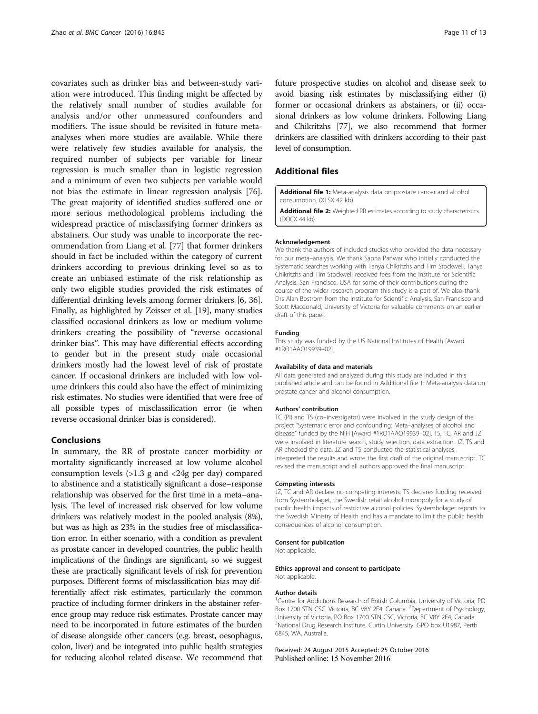<span id="page-10-0"></span>covariates such as drinker bias and between-study variation were introduced. This finding might be affected by the relatively small number of studies available for analysis and/or other unmeasured confounders and modifiers. The issue should be revisited in future metaanalyses when more studies are available. While there were relatively few studies available for analysis, the required number of subjects per variable for linear regression is much smaller than in logistic regression and a minimum of even two subjects per variable would not bias the estimate in linear regression analysis [\[76](#page-12-0)]. The great majority of identified studies suffered one or more serious methodological problems including the widespread practice of misclassifying former drinkers as abstainers. Our study was unable to incorporate the recommendation from Liang et al. [[77\]](#page-12-0) that former drinkers should in fact be included within the category of current drinkers according to previous drinking level so as to create an unbiased estimate of the risk relationship as only two eligible studies provided the risk estimates of differential drinking levels among former drinkers [[6](#page-11-0), [36](#page-11-0)]. Finally, as highlighted by Zeisser et al. [\[19\]](#page-11-0), many studies classified occasional drinkers as low or medium volume drinkers creating the possibility of "reverse occasional drinker bias". This may have differential effects according to gender but in the present study male occasional drinkers mostly had the lowest level of risk of prostate cancer. If occasional drinkers are included with low volume drinkers this could also have the effect of minimizing risk estimates. No studies were identified that were free of all possible types of misclassification error (ie when reverse occasional drinker bias is considered).

#### Conclusions

In summary, the RR of prostate cancer morbidity or mortality significantly increased at low volume alcohol consumption levels  $(>1.3$  g and  $<24$ g per day) compared to abstinence and a statistically significant a dose–response relationship was observed for the first time in a meta–analysis. The level of increased risk observed for low volume drinkers was relatively modest in the pooled analysis (8%), but was as high as 23% in the studies free of misclassification error. In either scenario, with a condition as prevalent as prostate cancer in developed countries, the public health implications of the findings are significant, so we suggest these are practically significant levels of risk for prevention purposes. Different forms of misclassification bias may differentially affect risk estimates, particularly the common practice of including former drinkers in the abstainer reference group may reduce risk estimates. Prostate cancer may need to be incorporated in future estimates of the burden of disease alongside other cancers (e.g. breast, oesophagus, colon, liver) and be integrated into public health strategies for reducing alcohol related disease. We recommend that

future prospective studies on alcohol and disease seek to avoid biasing risk estimates by misclassifying either (i) former or occasional drinkers as abstainers, or (ii) occasional drinkers as low volume drinkers. Following Liang and Chikritzhs [[77](#page-12-0)], we also recommend that former drinkers are classified with drinkers according to their past level of consumption.

#### Additional files

[Additional file 1:](dx.doi.org/10.1186/s12885-016-2891-z) Meta-analysis data on prostate cancer and alcohol consumption. (XLSX 42 kb)

[Additional file 2:](dx.doi.org/10.1186/s12885-016-2891-z) Weighted RR estimates according to study characteristics. (DOCX 44 kb)

#### Acknowledgement

We thank the authors of included studies who provided the data necessary for our meta–analysis. We thank Sapna Panwar who initially conducted the systematic searches working with Tanya Chikritzhs and Tim Stockwell. Tanya Chikritzhs and Tim Stockwell received fees from the Institute for Scientific Analysis, San Francisco, USA for some of their contributions during the course of the wider research program this study is a part of. We also thank Drs Alan Bostrom from the Institute for Scientific Analysis, San Francisco and Scott Macdonald, University of Victoria for valuable comments on an earlier draft of this paper.

#### Funding

This study was funded by the US National Institutes of Health [Award #1RO1AAO19939–02].

#### Availability of data and materials

All data generated and analyzed during this study are included in this published article and can be found in Additional file 1: Meta-analysis data on prostate cancer and alcohol consumption.

#### Authors' contribution

TC (PI) and TS (co–investigator) were involved in the study design of the project "Systematic error and confounding: Meta–analyses of alcohol and disease" funded by the NIH [Award #1RO1AAO19939–02]. TS, TC, AR and JZ were involved in literature search, study selection, data extraction. JZ, TS and AR checked the data. JZ and TS conducted the statistical analyses, interpreted the results and wrote the first draft of the original manuscript. TC revised the manuscript and all authors approved the final manuscript.

#### Competing interests

JZ, TC and AR declare no competing interests. TS declares funding received from Systembolaget, the Swedish retail alcohol monopoly for a study of public health impacts of restrictive alcohol policies. Systembolaget reports to the Swedish Ministry of Health and has a mandate to limit the public health consequences of alcohol consumption.

#### Consent for publication

Not applicable.

#### Ethics approval and consent to participate Not applicable.

#### Author details

<sup>1</sup> Centre for Addictions Research of British Columbia, University of Victoria, PO Box 1700 STN CSC, Victoria, BC V8Y 2E4, Canada. <sup>2</sup>Department of Psychology University of Victoria, PO Box 1700 STN CSC, Victoria, BC V8Y 2E4, Canada. <sup>3</sup>National Drug Research Institute, Curtin University, GPO box U1987, Perth 6845, WA, Australia.

Received: 24 August 2015 Accepted: 25 October 2016 Published online: 15 November 2016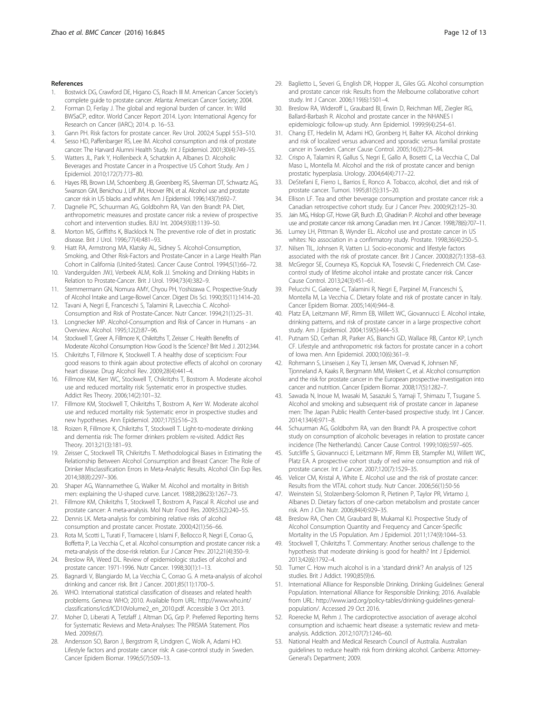#### <span id="page-11-0"></span>References

- 1. Bostwick DG, Crawford DE, Higano CS, Roach III M. American Cancer Society's complete guide to prostate cancer. Atlanta: American Cancer Society; 2004.
- Forman D, Ferlay J. The global and regional burden of cancer. In: Wild BWSaCP, editor. World Cancer Report 2014. Lyon: International Agency for Research on Cancer (IARC); 2014. p. 16–53.
- 3. Gann PH. Risk factors for prostate cancer. Rev Urol. 2002;4 Suppl 5:S3–S10. 4. Sesso HD, Paffenbarger RS, Lee IM. Alcohol consumption and risk of prostate
- cancer: The Harvard Alumni Health Study. Int J Epidemiol. 2001;30(4):749–55. 5. Watters JL, Park Y, Hollenbeck A, Schatzkin A, Albanes D. Alcoholic
- Beverages and Prostate Cancer in a Prospective US Cohort Study. Am J Epidemiol. 2010;172(7):773–80.
- 6. Hayes RB, Brown LM, Schoenberg JB, Greenberg RS, Silverman DT, Schwartz AG, Swanson GM, Benichou J, Liff JM, Hoover RN, et al. Alcohol use and prostate cancer risk in US blacks and whites. Am J Epidemiol. 1996;143(7):692–7.
- 7. Dagnelie PC, Schuurman AG, Goldbohm RA, Van den Brandt PA. Diet, anthropometric measures and prostate cancer risk: a review of prospective cohort and intervention studies. BJU Int. 2004;93(8):1139–50.
- 8. Morton MS, Griffiths K, Blacklock N. The preventive role of diet in prostatic disease. Brit J Urol. 1996;77(4):481–93.
- 9. Hiatt RA, Armstrong MA, Klatsky AL, Sidney S. Alcohol-Consumption, Smoking, and Other Risk-Factors and Prostate-Cancer in a Large Health Plan Cohort in California (United-States). Cancer Cause Control. 1994;5(1):66–72.
- 10. Vandergulden JWJ, Verbeek ALM, Kolk JJ. Smoking and Drinking Habits in Relation to Prostate-Cancer. Brit J Urol. 1994;73(4):382–9.
- 11. Stemmermann GN, Nomura AMY, Chyou PH, Yoshizawa C. Prospective-Study of Alcohol Intake and Large-Bowel Cancer. Digest Dis Sci. 1990;35(11):1414–20.
- 12. Tavani A, Negri E, Franceschi S, Talamini R, Lavecchia C. Alcohol-Consumption and Risk of Prostate-Cancer. Nutr Cancer. 1994;21(1):25–31.
- 13. Longnecker MP. Alcohol-Consumption and Risk of Cancer in Humans an Overview. Alcohol. 1995;12(2):87–96.
- 14. Stockwell T, Greer A, Fillmore K, Chikritzhs T, Zeisser C. Health Benefits of Moderate Alcohol Consumption How Good Is the Science? Brit Med J. 2012;344.
- 15. Chikritzhs T, Fillmore K, Stockwell T. A healthy dose of scepticism: Four good reasons to think again about protective effects of alcohol on coronary heart disease. Drug Alcohol Rev. 2009;28(4):441–4.
- 16. Fillmore KM, Kerr WC, Stockwell T, Chikritzhs T, Bostrom A. Moderate alcohol use and reduced mortality risk: Systematic error in prospective studies. Addict Res Theory. 2006;14(2):101–32.
- 17. Fillmore KM, Stockwell T, Chikritzhs T, Bostrom A, Kerr W. Moderate alcohol use and reduced mortality risk: Systematic error in prospective studies and new hypotheses. Ann Epidemiol. 2007;17(5):S16–23.
- 18. Roizen R, Fillmore K, Chikritzhs T, Stockwell T. Light-to-moderate drinking and dementia risk: The former drinkers problem re-visited. Addict Res Theory. 2013;21(3):181–93.
- 19. Zeisser C, Stockwell TR, Chikritzhs T. Methodological Biases in Estimating the Relationship Between Alcohol Consumption and Breast Cancer: The Role of Drinker Misclassification Errors in Meta-Analytic Results. Alcohol Clin Exp Res. 2014;38(8):2297–306.
- 20. Shaper AG, Wannamethee G, Walker M. Alcohol and mortality in British men: explaining the U-shaped curve. Lancet. 1988;2(8623):1267–73.
- 21. Fillmore KM, Chikritzhs T, Stockwell T, Bostrom A, Pascal R. Alcohol use and prostate cancer: A meta-analysis. Mol Nutr Food Res. 2009;53(2):240–55.
- 22. Dennis LK. Meta-analysis for combining relative risks of alcohol consumption and prostate cancer. Prostate. 2000;42(1):56–66.
- 23. Rota M, Scotti L, Turati F, Tramacere I, Islami F, Bellocco R, Negri E, Corrao G, Boffetta P, La Vecchia C, et al. Alcohol consumption and prostate cancer risk: a meta-analysis of the dose-risk relation. Eur J Cancer Prev. 2012;21(4):350–9.
- 24. Breslow RA, Weed DL. Review of epidemiologic studies of alcohol and prostate cancer: 1971-1996. Nutr Cancer. 1998;30(1):1–13.
- 25. Bagnardi V, Blangiardo M, La Vecchia C, Corrao G. A meta-analysis of alcohol drinking and cancer risk. Brit J Cancer. 2001;85(11):1700–5.
- 26. WHO. International statistical classification of diseases and related health problems. Geneva: WHO; 2010. Available from URL: [http://www.who.int/](http://www.who.int/classifications/icd/ICD10Volume2_en_2010.pdf) [classifications/icd/ICD10Volume2\\_en\\_2010.pdf.](http://www.who.int/classifications/icd/ICD10Volume2_en_2010.pdf) Accessible 3 Oct 2013.
- 27. Moher D, Liberati A, Tetzlaff J, Altman DG, Grp P. Preferred Reporting Items for Systematic Reviews and Meta-Analyses: The PRISMA Statement. Plos Med. 2009;6(7).
- 28. Andersson SO, Baron J, Bergstrom R, Lindgren C, Wolk A, Adami HO. Lifestyle factors and prostate cancer risk: A case-control study in Sweden. Cancer Epidem Biomar. 1996;5(7):509–13.
- 29. Baglietto L, Severi G, English DR, Hopper JL, Giles GG. Alcohol consumption and prostate cancer risk: Results from the Melbourne collaborative cohort study. Int J Cancer. 2006;119(6):1501–4.
- 30. Breslow RA, Wideroff L, Graubard BI, Erwin D, Reichman ME, Ziegler RG, Ballard-Barbash R. Alcohol and prostate cancer in the NHANES I epidemiologic follow-up study. Ann Epidemiol. 1999;9(4):254–61.
- 31. Chang ET, Hedelin M, Adami HO, Gronberg H, Balter KA. Alcohol drinking and risk of localized versus advanced and sporadic versus familial prostate cancer in Sweden. Cancer Cause Control. 2005;16(3):275–84.
- 32. Crispo A, Talamini R, Gallus S, Negri E, Gallo A, Bosetti C, La Vecchia C, Dal Maso L, Montella M. Alcohol and the risk of prostate cancer and benign prostatic hyperplasia. Urology. 2004;64(4):717–22.
- 33. DeStefani E, Fierro L, Barrios E, Ronco A. Tobacco, alcohol, diet and risk of prostate cancer. Tumori. 1995;81(5):315–20.
- 34. Ellison LF. Tea and other beverage consumption and prostate cancer risk: a Canadian retrospective cohort study. Eur J Cancer Prev. 2000;9(2):125–30.
- 35. Jain MG, Hislop GT, Howe GR, Burch JD, Ghadirian P. Alcohol and other beverage use and prostate cancer risk among Canadian men. Int J Cancer. 1998;78(6):707–11.
- 36. Lumey LH, Pittman B, Wynder EL. Alcohol use and prostate cancer in US whites: No association in a confirmatory study. Prostate. 1998;36(4):250–5.
- 37. Nilsen TIL, Johnsen R, Vatten LJ. Socio-economic and lifestyle factors associated with the risk of prostate cancer. Brit J Cancer. 2000;82(7):1358–63.
- 38. McGregor SE, Courneya KS, Kopciuk KA, Tosevski C, Friedenreich CM. Casecontrol study of lifetime alcohol intake and prostate cancer risk. Cancer Cause Control. 2013;24(3):451–61.
- 39. Pelucchi C, Galeone C, Talamini R, Negri E, Parpinel M, Franceschi S, Montella M, La Vecchia C. Dietary folate and risk of prostate cancer in Italy. Cancer Epidem Biomar. 2005;14(4):944–8.
- Platz EA, Leitzmann MF, Rimm EB, Willett WC, Giovannucci E. Alcohol intake, drinking patterns, and risk of prostate cancer in a large prospective cohort study. Am J Epidemiol. 2004;159(5):444–53.
- 41. Putnam SD, Cerhan JR, Parker AS, Bianchi GD, Wallace RB, Cantor KP, Lynch CF. Lifestyle and anthropometric risk factors for prostate cancer in a cohort of Iowa men. Ann Epidemiol. 2000;10(6):361–9.
- 42. Rohrmann S, Linseisen J, Key TJ, Jensen MK, Overvad K, Johnsen NF, Tjonneland A, Kaaks R, Bergmann MM, Weikert C, et al. Alcohol consumption and the risk for prostate cancer in the European prospective investigation into cancer and nutrition. Cancer Epidem Biomar. 2008;17(5):1282–7.
- 43. Sawada N, Inoue M, Iwasaki M, Sasazuki S, Yamaji T, Shimazu T, Tsugane S. Alcohol and smoking and subsequent risk of prostate cancer in Japanese men: The Japan Public Health Center-based prospective study. Int J Cancer. 2014;134(4):971–8.
- 44. Schuurman AG, Goldbohm RA, van den Brandt PA. A prospective cohort study on consumption of alcoholic beverages in relation to prostate cancer incidence (The Netherlands). Cancer Cause Control. 1999;10(6):597–605.
- 45. Sutcliffe S, Giovannucci E, Leitzmann MF, Rimm EB, Stampfer MJ, Willett WC, Platz EA. A prospective cohort study of red wine consumption and risk of prostate cancer. Int J Cancer. 2007;120(7):1529–35.
- 46. Velicer CM, Kristal A, White E. Alcohol use and the risk of prostate cancer: Results from the VITAL cohort study. Nutr Cancer. 2006;56(1):50-56
- 47. Weinstein SJ, Stolzenberg-Solomon R, Pietinen P, Taylor PR, Virtamo J, Albanes D. Dietary factors of one-carbon metabolism and prostate cancer risk. Am J Clin Nutr. 2006;84(4):929–35.
- 48. Breslow RA, Chen CM, Graubard BI, Mukamal KJ. Prospective Study of Alcohol Consumption Quantity and Frequency and Cancer-Specific Mortality in the US Population. Am J Epidemiol. 2011;174(9):1044–53.
- 49. Stockwell T, Chikritzhs T. Commentary: Another serious challenge to the hypothesis that moderate drinking is good for health? Int J Epidemiol. 2013;42(6):1792–4.
- 50. Tumer C. How much alcohol is in a 'standard drink'? An analysis of 125 studies. Brit J Addict. 1990;85(9):6.
- 51. International Alliance for Responsible Drinking. Drinking Guidelines: General Population. International Alliance for Responsible Drinking; 2016. Available from URL: [http://www.iard.org/policy-tables/drinking-guidelines-general](http://www.iard.org/policy-tables/drinking-guidelines-general-population/)[population/](http://www.iard.org/policy-tables/drinking-guidelines-general-population/). Accessed 29 Oct 2016.
- 52. Roerecke M, Rehm J. The cardioprotective association of average alcohol consumption and ischaemic heart disease: a systematic review and metaanalysis. Addiction. 2012;107(7):1246–60.
- 53. National Health and Medical Research Council of Australia. Australian guidelines to reduce health risk from drinking alcohol. Canberra: Attorney-General's Department; 2009.